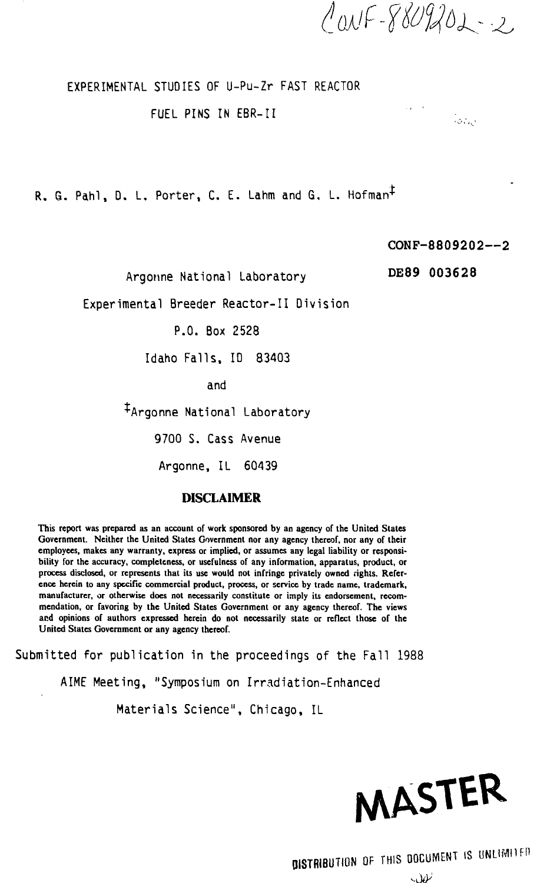$CovF - 8809202 - 2$ 

#### EXPERIMENTAL STUDIES OF U-Pu-Zr FAST REACTOR

#### FUEL PINS IN EBR-II

R. G. Pahl, D. L. Porter, C. E. Lahm and G. L. Hofman<sup>t</sup>

#### **CONF-8809202**—**2**

an<br>Maria Batic

Argonne National Laboratory

PDE89 003628

Experimental Breeder Reactor-II Division

P.O. Box 2528

Idaho Falls, ID 83403

and

+Argonne National Laboratory

9700 S. Cass Avenue

Argonne, IL 60439

#### **DISCLAIMER**

**This report was prepared as an account of work sponsored by an agency of the United States Government. Neither the United States Government nor any agency thereof, nor any of their employees, makes any warranty, express or implied, or assumes any legal liability or responsibility for the accuracy, completeness, or usefulness of any information, apparatus, product, or** process disclosed, or represents that its use would not infringe privately owned rights. Refer**ence herein to any specific commercial product, process, or service by trade name, trademark, manufacturer, or otherwise does not necessarily constitute or imply its endorsement, recommendation, or favoring by the United States Government or any agency thereof. The views and opinions of authors expressed herein do not necessarily state or reflect those of the United States Government or any agency thereof.**

Submitted for publication in the proceedings of the Fall 1988

AIME Meeting, "Symposium on Irradiation-Enhanced

Materials Science", Chicago, IL



 $\omega$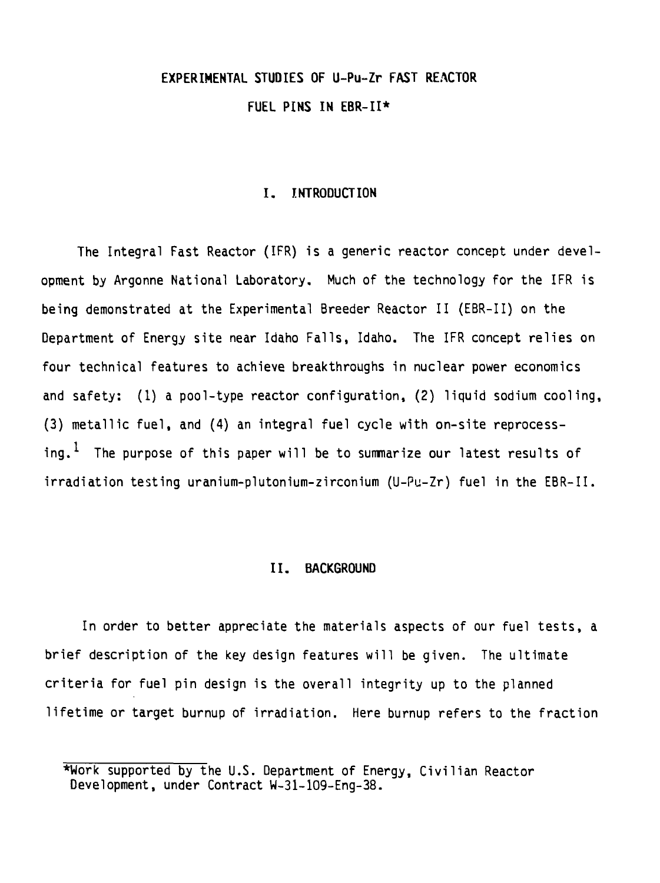## **EXPERIMENTAL STUDIES OF U-Pu-Zr FAST REACTOR FUEL PINS IN EBR-II\***

#### **I. INTRODUCTION**

The Integral Fast Reactor (IFR) is a generic reactor concept under development by Argonne National Laboratory. Much of the technology for the IFR is being demonstrated at the Experimental Breeder Reactor II (EBR-II) on the Department of Energy site near Idaho Falls, Idaho. The IFR concept relies on four technical features to achieve breakthroughs in nuclear power economics and safety: (1) a pool-type reactor configuration, (2) liquid sodium cooling, (3) metallic fuel, and (4) an integral fuel cycle with on-site reprocessing.<sup>1</sup> The purpose of this paper will be to summarize our latest results of irradiation testing uranium-plutonium-zirconium (U-Pu-Zr) fuel in the EBR-II.

#### **II. BACKGROUND**

In order to better appreciate the materials aspects of our fuel tests, a brief description of the key design features will be given. The ultimate criteria for fuel pin design is the overall integrity up to the planned lifetime or target burnup of irradiation. Here burnup refers to the fraction

<sup>\*</sup>Work supported by the U.S. Department of Energy, Civilian Reactor Development, under Contract W-31-109-Eng-38.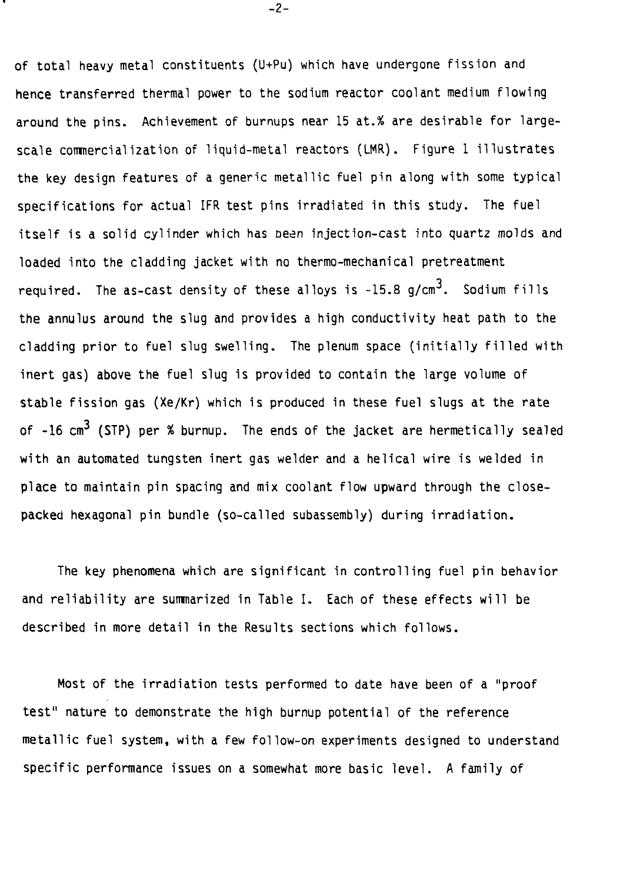**of total heavy metal constituents (U+Pu) which have undergone fission and hence transferred thermal power to the sodium reactor coolant medium flowing around the pins. Achievement of burnups near 15 at.% are desirable for largescale commercialization of liquid-metal reactors (LMR). Figure 1 illustrates the key design features of a generic metallic fuel pin along with some typical specifications for actual IFR test pins irradiated in this study. The fuel itself is a solid cylinder which has oeen injection-cast into quartz molds and loaded into the cladding jacket with no thermo-mechanical pretreatment** required. The as-cast density of these alloys is -15.8 g/cm<sup>3</sup>. Sodium fills **the annulus around the slug and provides a high conductivity heat path to the cladding prior to fuel slug swelling. The plenum space (initially filled with inert gas) above the fuel slug is provided to contain the large volume of stable fission gas (Xe/Kr) which is produced in these fuel slugs at the rate** of -16 cm<sup>3</sup> (STP) per % burnup. The ends of the jacket are hermetically sealed **with an automated tungsten inert gas welder and a helical wire is welded in place to maintain pin spacing and mix coolant flow upward through the closepacked hexagonal pin bundle (so-called subassembly) during irradiation.**

**The key phenomena which are significant in controlling fuel pin behavior and reliability are summarized in Table I. Each of these effects will be described in more detail in the Results sections which follows.**

**Most of the irradiation tests performed to date have been of a "proof test" nature to demonstrate the high burnup potential of the reference metallic fuel system, with a few follow-on experiments designed to understand specific performance issues on a somewhat more basic level. A family of**

**-2-**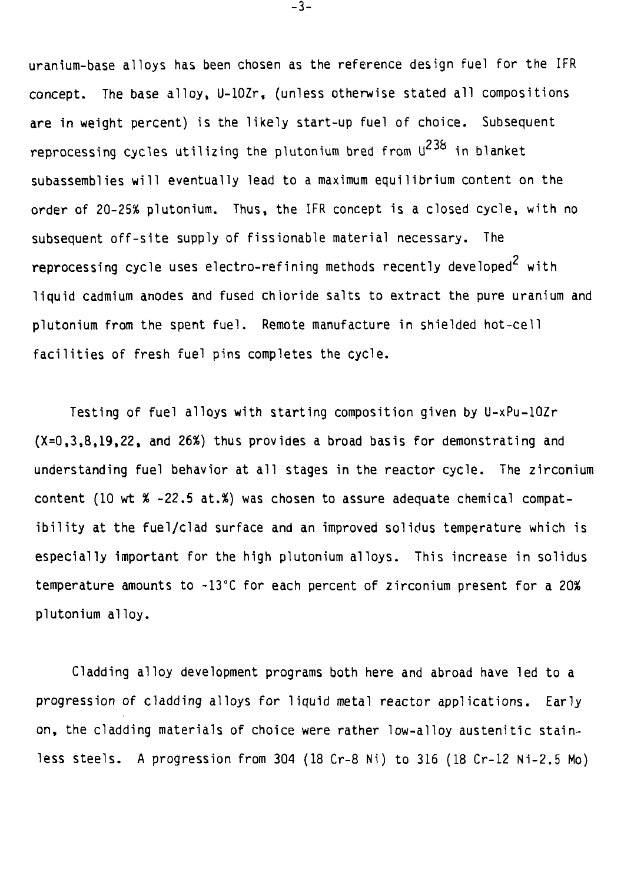uranium-base alloys has been chosen as the reference design fuel for the IFR concept. The base alloy, U-lOZr, (unless otherwise stated all compositions are in weight percent) is the likely start-up fuel of choice. Subsequent reprocessing cycles utilizing the plutonium bred from  $U^{238}$  in blanket subassemblies will eventually lead to a maximum equilibrium content on the order of 20-25% plutonium. Thus, the IFR concept is a closed cycle, with no subsequent off-site supply of fissionable material necessary. The reprocessing cycle uses electro-refining methods recently developed<sup>2</sup> with liquid cadmium anodes and fused chloride salts to extract the pure uranium and plutonium from the spent fuel. Remote manufacture in shielded hot-cell facilities of fresh fuel pins completes the cycle.

Testing of fuel alloys with starting composition given by U-xPu-lOZr (X=0,3,8,19,22, and 26%) thus provides a broad basis for demonstrating and understanding fuel behavior at all stages in the reactor cycle. The zirconium content (10 wt % -22.5 at.%) was chosen to assure adequate chemical compatibility at the fuel/clad surface and an improved solidus temperature which is especially important for the high plutonium alloys. This increase in solidus temperature amounts to -13°C for each percent of zirconium present for a 20% plutonium alloy.

Cladding alloy development programs both here and abroad have led to a progression of cladding alloys for liquid metal reactor applications. Early on, the cladding materials of choice were rather low-alloy austenitic stainless steels. A progression from 304 (18 Cr-8 Ni) to 316 (18 Cr-12 Ni-2.5 Mo)

-3-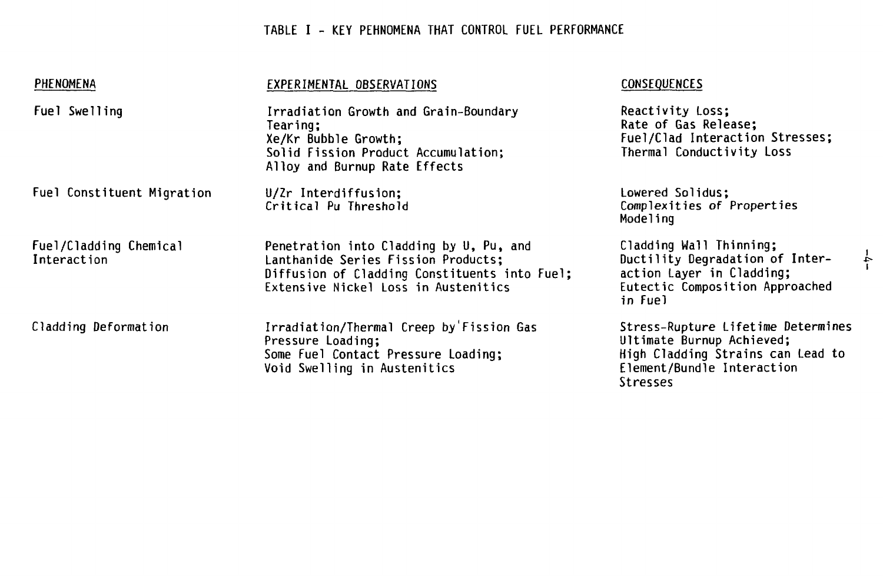## **TABLE I - KEY PEHNOMENA THAT CONTROL FUEL PERFORMANCE**

| PHENOMENA                             | EXPERIMENTAL OBSERVATIONS                                                                                                                                               | <b>CONSEQUENCES</b>                                                                                                                            |
|---------------------------------------|-------------------------------------------------------------------------------------------------------------------------------------------------------------------------|------------------------------------------------------------------------------------------------------------------------------------------------|
| Fuel Swelling                         | Irradiation Growth and Grain-Boundary<br>Tearing;<br>Xe/Kr Bubble Growth;<br>Solid Fission Product Accumulation;<br>Alloy and Burnup Rate Effects                       | Reactivity Loss;<br>Rate of Gas Release;<br>Fuel/Clad Interaction Stresses;<br>Thermal Conductivity Loss                                       |
| Fuel Constituent Migration            | U/Zr Interdiffusion;<br>Critical Pu Threshold                                                                                                                           | Lowered Solidus;<br>Complexities of Properties<br>Modeling                                                                                     |
| Fuel/Cladding Chemical<br>Interaction | Penetration into Cladding by U, Pu, and<br>Lanthanide Series Fission Products;<br>Diffusion of Cladding Constituents into Fuel;<br>Extensive Nickel Loss in Austenitics | Cladding Wall Thinning;<br>Ductility Degradation of Inter-<br>action Layer in Cladding;<br>Eutectic Composition Approached<br>in Fuel          |
| Cladding Deformation                  | Irradiation/Thermal Creep by Fission Gas<br>Pressure Loading;<br>Some Fuel Contact Pressure Loading;<br>Void Swelling in Austenitics                                    | Stress-Rupture Lifetime Determines<br>Ultimate Burnup Achieved;<br>High Cladding Strains can Lead to<br>Element/Bundle Interaction<br>Stresses |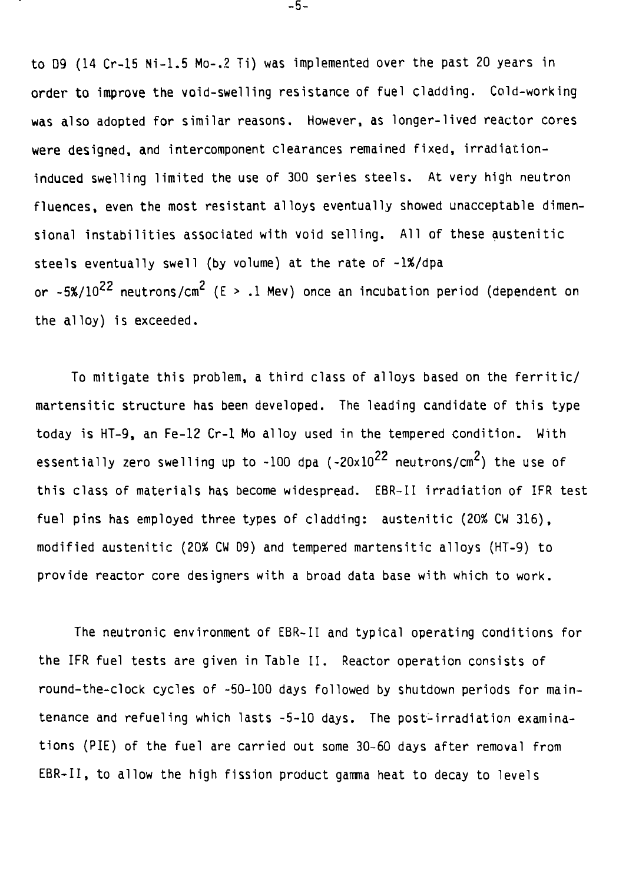to D9 (14 Cr-15 Ni-1.5 Mo-.2 Ti) was implemented over the past 20 years in order to improve the void-swelling resistance of fuel cladding. Cold-working was also adopted for similar reasons. However, as longer-lived reactor cores were designed, and intercomponent clearances remained fixed, irradiationinduced swelling limited the use of 300 series steels. At very high neutron fluences, even the most resistant alloys eventually showed unacceptable dimensional instabilities associated with void selling. All of these austenitic steels eventually swell (by volume) at the rate of -1%/dpa or ~5%/ $10^{22}$  neutrons/cm $^2$  (E > .1 Mev) once an incubation period (dependent on the alloy) is exceeded.

To mitigate this problem, a third class of alloys based on the ferritic/ martensitic structure has been developed. The leading candidate of this type today is HT-9, an Fe-12 Cr-1 Mo alloy used in the tempered condition. With essentially zero swelling up to  $-100$  dpa ( $-20 \times 10^{22}$  neutrons/cm<sup>2</sup>) the use of this class of materials has become widespread. EBR-II irradiation of IFR test fuel pins has employed three types of cladding: austenitic (20% CW 316), modified austenitic (20% CW D9) and tempered martensitic alloys (HT-9) to provide reactor core designers with a broad data base with which to work.

The neutronic environment of EBR-II and typical operating conditions for the IFR fuel tests are given in Table II. Reactor operation consists of round-the-clock cycles of -50-100 days followed by shutdown periods for maintenance and refueling which lasts -5-10 days. The post-irradiation examinations (PIE) of the fuel are carried out some 30-60 days after removal from EBR-II, to allow the high fission product gamma heat to decay to levels

-5-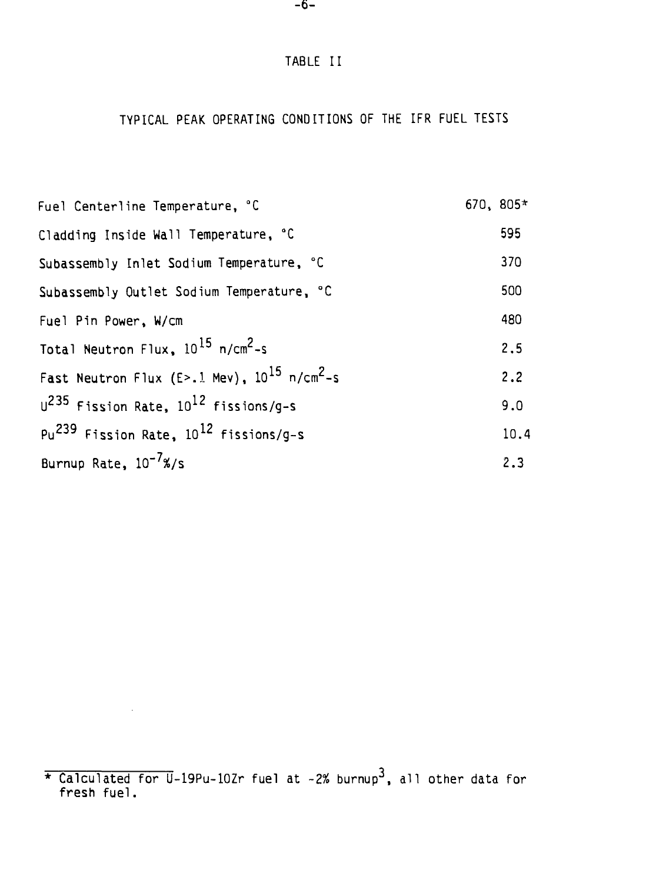## TABLE II

### TYPICAL PEAK OPERATING CONDITIONS OF THE IFR FUEL TESTS

| Fuel Centerline Temperature, °C                              | $670, 805*$ |      |
|--------------------------------------------------------------|-------------|------|
| Cladding Inside Wall Temperature, °C                         |             | 595  |
| Subassembly Inlet Sodium Temperature, °C                     |             | 370  |
| Subassembly Outlet Sodium Temperature, °C                    |             | 500  |
| Fuel Pin Power, W/cm                                         |             | 480  |
| Total Neutron Flux, 10 <sup>15</sup> n/cm <sup>2</sup> -s    |             | 2.5  |
| Fast Neutron Flux (E>.1 Mev), $10^{15}$ n/cm <sup>2</sup> -s |             | 2.2  |
| $U^{235}$ Fission Rate, $10^{12}$ fissions/g-s               |             | 9.0  |
| $Pu^{239}$ Fission Rate, $10^{12}$ fissions/q-s              |             | 10.4 |
| Burnup Rate, 10 <sup>-7</sup> %/s                            |             | 2.3  |

 $\sim 10^{11}$  km  $^{-1}$ 

<sup>\*</sup> Calculated for U-19Pu-10Zr fuel at -2% burnup<sup>3</sup>, all other data for fresh fuel.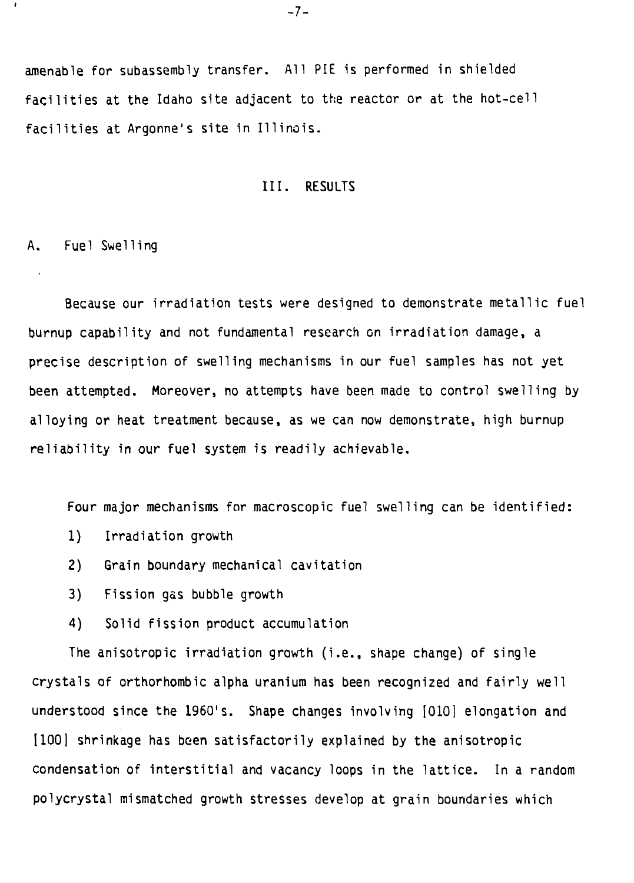amenable for subassembly transfer. All PIE is performed in shielded facilities at the Idaho site adjacent to the reactor or at the hot-cell facilities at Argonne's site in Illinois.

#### III. RESULTS

A. Fuel Swelling

ŧ

Because our irradiation tests were designed to demonstrate metallic fuel burnup capability and not fundamental research on irradiation damage, a precise description of swelling mechanisms in our fuel samples has not yet been attempted. Moreover, no attempts have been made to control swelling by alloying or heat treatment because, as we can now demonstrate, high burnup reliability in our fuel system is readily achievable.

Four major mechanisms for macroscopic fuel swelling can be identified:

- 1) Irradiation growth
- 2) Grain boundary mechanical cavitation
- 3) Fission gas bubble growth
- 4) Solid fission product accumulation

The anisotropic irradiation growth (i.e., shape change) of single crystals of orthorhombic alpha uranium has been recognized and fairly well understood since the 1960's. Shape changes involving [O10] elongation and [100] shrinkage has been satisfactorily explained by the anisotropic condensation of interstitial and vacancy loops in the lattice. In a random polycrystal mismatched growth stresses develop at grain boundaries which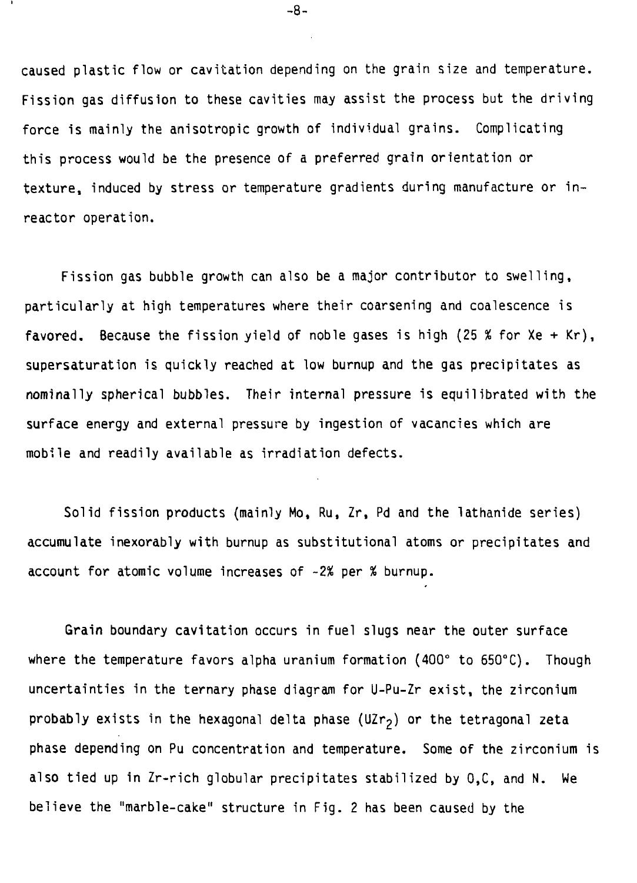**caused plastic flow or cavitation depending on the grain size and temperature. Fission gas diffusion to these cavities may assist the process but the driving force is mainly the anisotropic growth of individual grains. Complicating this process would be the presence of a preferred grain orientation or texture, induced by stress or temperature gradients during manufacture or inreactor operation.**

**Fission gas bubble growth can also be a major contributor to swelling, particularly at high temperatures where their coarsening and coalescence is favored. Because the fission yield of noble gases is high (25 % for Xe + Kr), supersaturation is quickly reached at low burnup and the gas precipitates as nominally spherical bubbles. Their internal pressure is equilibrated with the surface energy and external pressure by ingestion of vacancies which are mobile and readily available as irradiation defects.**

**Solid fission products (mainly Mo, Ru, Zr, Pd and the lathanide series) accumulate inexorably with burnup as substitutional atoms or precipitates and account for atomic volume increases of -2% per % burnup.**

**Grain boundary cavitation occurs in fuel slugs near the outer surface where the temperature favors alpha uranium formation (400° to 650°C). Though uncertainties in the ternary phase diagram for U-Pu-Zr exist, the zirconium probably exists in the hexagonal delta phase (UZ^) or the tetragonal zeta phase depending on Pu concentration and temperature. Some of the zirconium is also tied up in Zr-rich globular precipitates stabilized by 0,C, and N. We believe the "marble-cake" structure in Fig. 2 has been caused by the**

**-8-**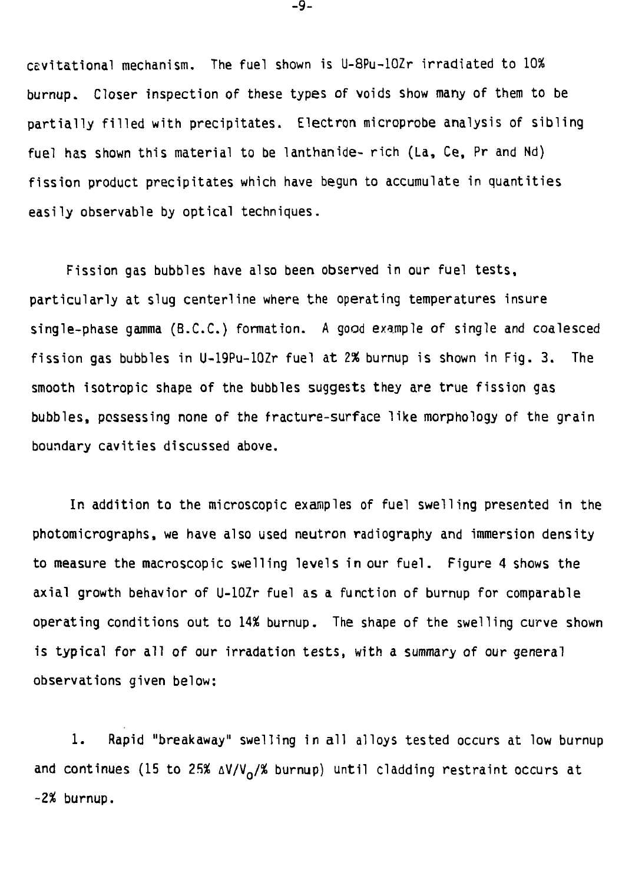cevitational mechanism. The fuel shown is U-8Pu-10Zr irradiated to 10% burnup. Closer inspection of these types of voids show many of them to be partially filled with precipitates. Electron microprobe analysis of sibling fuel has shown this material to be lanthanide- rich (La, Ce, Pr and Nd) fission product precipitates which have begun to accumulate in quantities easily observable by optical techniques.

Fission gas bubbles have also been observed in our fuel tests, particularly at slug centerline where the operating temperatures insure single-phase gamma (B.C.C.) formation. A good example of single and coalesced fission gas bubbles in U-19Pu-10Zr fuel at *2%* burnup is shown in Fig. 3. The smooth isotropic shape of the bubbles suggests they are true fission gas bubbles, possessing none of the fracture-surface like morphology of the grain boundary cavities discussed above.

In addition to the microscopic examples of fuel swelling presented in the photomicrographs, we have also used neutron radiography and immersion density to measure the macroscopic swelling levels in our fuel. Figure 4 shows the axial growth behavior of U-lOZr fuel as a function of burnup for comparable operating conditions out to 14% burnup. The shape of the swelling curve shown is typical for all of our irradation tests, with a summary of our general observations given below:

1. Rapid "breakaway" swelling in all alloys tested occurs at low burnup and continues (15 to 25%  $\Delta V/V_{\Omega}/\%$  burnup) until cladding restraint occurs at -2% burnup.

-9-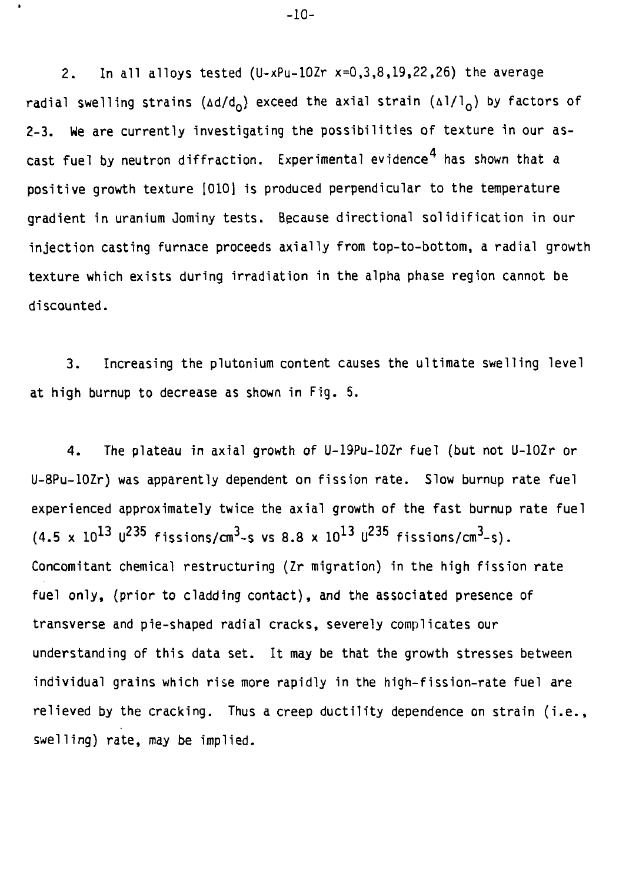2. In all alloys tested  $(U-xPu-10Zr x=0,3,8,19,22,26)$  the average radial swelling strains ( $\Delta d/d_0$ ) exceed the axial strain ( $\Delta 1/l_0$ ) by factors of 2-3. We are currently investigating the possibilities of texture in our ascast fuel by neutron diffraction. Experimental evidence<sup>4</sup> has shown that a positive growth texture [010] is produced perpendicular to the temperature gradient in uranium Jominy tests. Because directional solidification in our injection casting furnace proceeds axially from top-to-bottom, a radial growth texture which exists during irradiation in the alpha phase region cannot be discounted.

3. Increasing the plutonium content causes the ultimate swelling level at high burnup to decrease as shown in Fig. 5.

4. The plateau in axial growth of U-19Pu-10Zr fuel (but not U-lOZr or U-8Pu-10Zr) was apparently dependent on fission rate. Slow burnup rate fuel experienced approximately twice the axial growth of the fast burnup rate fuel (4.5 x  $10^{13}$  U<sup>235</sup> fissions/cm<sup>3</sup>-s vs 8.8 x  $10^{13}$  U<sup>235</sup> fissions/cm<sup>3</sup>-s). Concomitant chemical restructuring (Zr migration) in the high fission rate fuel only, (prior to cladding contact), and the associated presence of transverse and pie-shaped radial cracks, severely complicates our understanding of this data set. It may be that the growth stresses between individual grains which rise more rapidly in the high-fission-rate fuel are relieved by the cracking. Thus a creep ductility dependence on strain (i.e., swelling) rate, may be implied.

-10-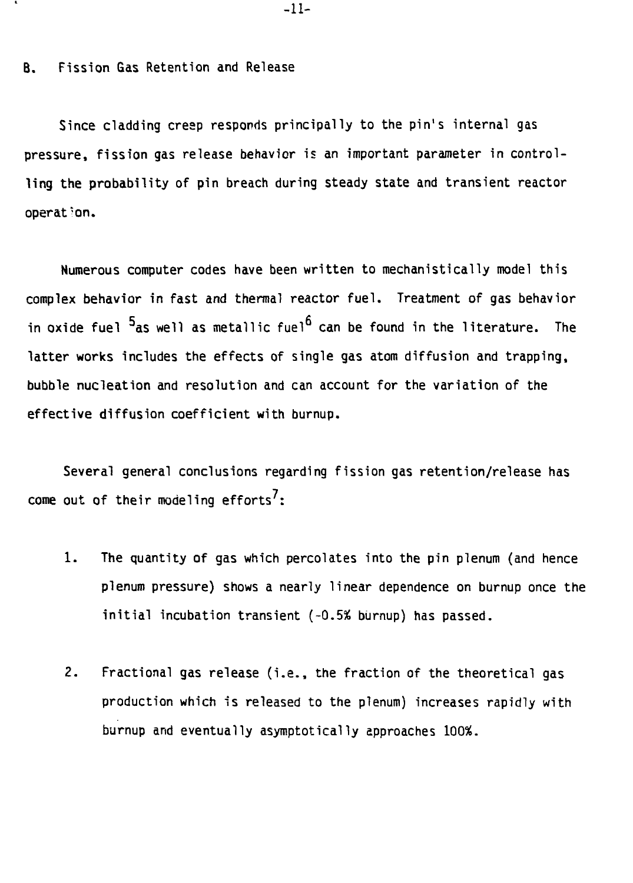#### **B. Fission Gas Retention and Release**

**Since cladding cresp responds principally to the pin's internal gas pressure, fission gas release behavior is an important parameter in controlling the probability of pin breach during steady state and transient reactor operation.**

**Numerous computer codes have been written to mechanistically model this complex behavior in fast and thermal reactor fuel. Treatment of gas behavior** in oxide fuel <sup>5</sup>as well as metallic fuel<sup>6</sup> can be found in the literature. The **latter works includes the effects of single gas atom diffusion and trapping, bubble nucleation and resolution and can account for the variation of the effective diffusion coefficient with burnup.**

**Several general conclusions regarding fission gas retention/release has come out of their modeling efforts :**

- **1. The quantity of gas which percolates into the pin plenum (and hence plenum pressure) shows a nearly linear dependence on burnup once the initial incubation transient (-0.5% burnup) has passed.**
- **2. Fractional gas release (i.e., the fraction of the theoretical gas production which is released to the plenum) increases rapidly with burnup and eventually asymptotically approaches 100%.**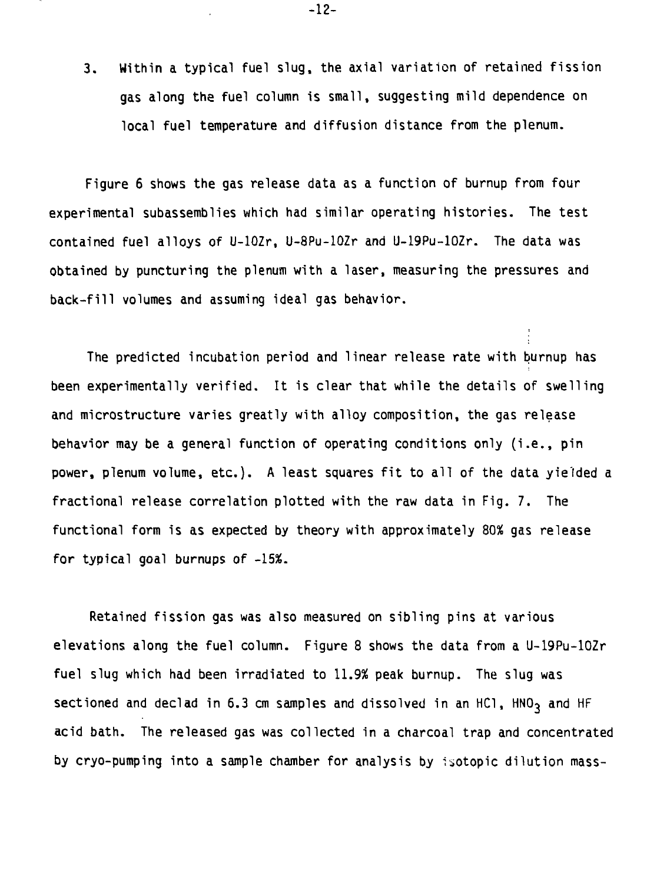3. Within a typical fuel slug, the axial variation of retained fission gas along the fuel column is small, suggesting mild dependence on local fuel temperature and diffusion distance from the plenum.

Figure 6 shows the gas release data as a function of burnup from four experimental subassemblies which had similar operating histories. The test contained fuel alloys of U-lOZr, U-8Pu-10Zr and U-19Pu-10Zr. The data was obtained by puncturing the plenum with a laser, measuring the pressures and back-fill volumes and assuming ideal gas behavior.

The predicted incubation period and linear release rate with burnup has been experimentally verified. It is clear that while the details of swelling and microstructure varies greatly with alloy composition, the gas release behavior may be a general function of operating conditions only (i.e. , pin power, plenum volume, etc.). A least squares fit to all of the data yielded a fractional release correlation plotted with the raw data in Fig. 7. The functional form is as expected by theory with approximately 80% gas release for typical goal burnups of -15%.

Retained fission gas was also measured on sibling pins at various elevations along the fuel column. Figure 8 shows the data from a U-19Pu-10Zr fuel slug which had been irradiated to 11.9% peak burnup. The slug was sectioned and declad in 6.3 cm samples and dissolved in an HC1, HNO<sub>3</sub> and HF acid bath. The released gas was collected in a charcoal trap and concentrated by cryo-pumping into a sample chamber for analysis by isotopic dilution mass-

-12-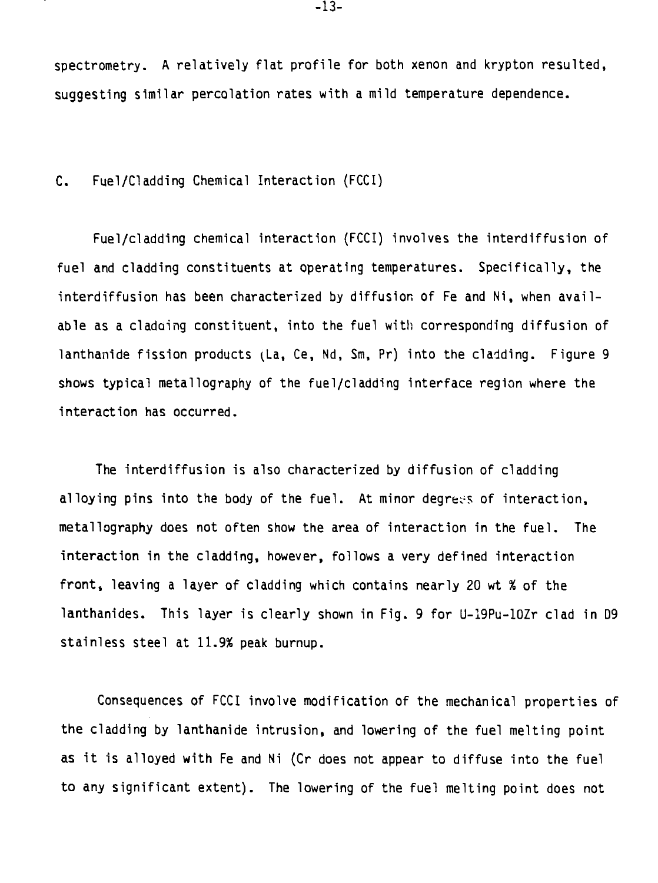**spectrometry. A relatively flat profile for both xenon and krypton resulted, suggesting similar percolation rates with a mild temperature dependence.**

**C. Fuel/Cladding Chemical Interaction (FCCI)**

**Fuel/cladding chemical interaction (FCCI) involves the interdiffusion of fuel and cladding constituents at operating temperatures. Specifically, the interdiffusion has been characterized by diffusion of Fe and Ni, when available as a cladding constituent, into the fuel with corresponding diffusion of lanthanide fission products (La, Ce, Nd, Sm, Pr) into the cladding. Figure 9 shows typical metallography of the fuel/cladding interface region where the interaction has occurred.**

**The interdiffusion is also characterized by diffusion of cladding alloying pins into the body of the fuel. At minor degrees of interaction, metallography does not often show the area of interaction in the fuel. The interaction in the cladding, however, follows a very defined interaction front, leaving a layer of cladding which contains nearly 20 wt % of the lanthanides. This layer is clearly shown in Fig. 9 for U-I9Pu-10Zr clad in D9 stainless steel at 11.9% peak burnup.**

**Consequences of FCCI involve modification of the mechanical properties of the cladding by lanthanide intrusion, and lowering of the fuel melting point as it is alloyed with Fe and Ni (Cr does not appear to diffuse into the fuel to any significant extent). The lowering of the fuel melting point does not**

**-13-**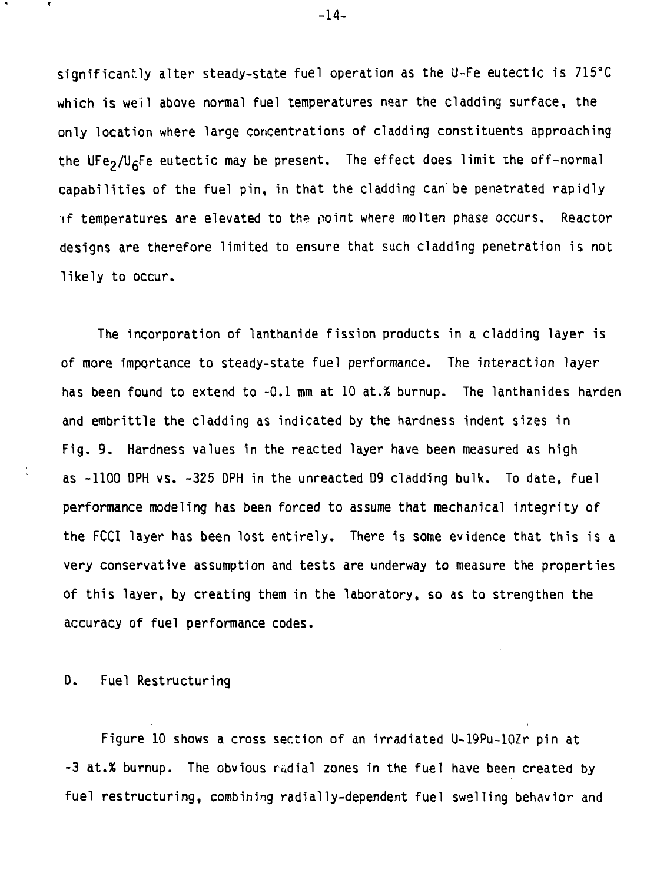**significanf.ly alter steady-state fuel operation as the U-Fe eutectic is 715°C which is well above normal fuel temperatures near the cladding surface, the only location where large concentrations of cladding constituents approaching** the UFe<sub>2</sub>/U<sub>6</sub>Fe eutectic may be present. The effect does limit the off-normal **capabilities of the fuel pin, in that the cladding can' be penetrated rapidly if temperatures are elevated to the point where molten phase occurs. Reactor designs are therefore limited to ensure that such cladding penetration is not likely to occur.**

**The incorporation of lanthanide fission products in a cladding layer is of more importance to steady-state fuel performance. The interaction layer has been found to extend to -0.1 mm at 10 at.% burnup. The lanthanides harden and embrittle the cladding as indicated by the hardness indent sizes in Fig. 9. Hardness values in the reacted layer have been measured as high as -1100 DPH vs. -325 DPH in the unreacted D9 cladding bulk. To date, fuel performance modeling has been forced to assume that mechanical integrity of the FCCI layer has been lost entirely. There is some evidence that this is a very conservative assumption and tests are underway to measure the properties of this layer, by creating them in the laboratory, so as to strengthen the accuracy of fuel performance codes.**

**D. Fuel Restructuring**

**Figure 10 shows a cross section of an irradiated U-19Pu-10Zr pin at -3 at.% burnup. The obvious radial zones in the fuel have been created by fuel restructuring, combining radially-dependent fuel swelling behavior and**

**-14-**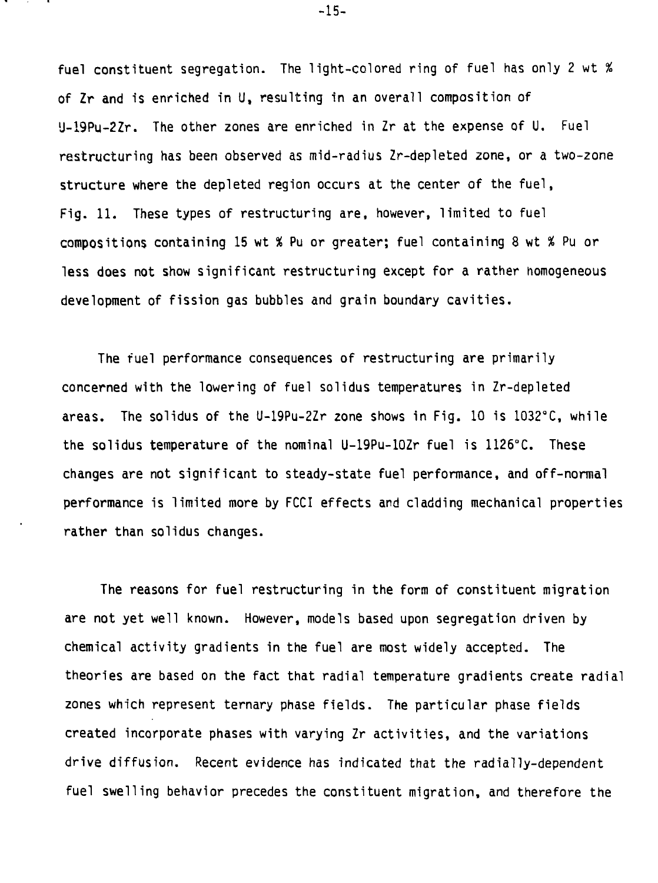**fuel constituent segregation. The light-colored ring of fuel has only 2 wt % of Zr and is enriched in U, resulting in an overall composition of <sup>l</sup>J-19Pu-2Zr. The other zones are enriched in Zr at the expense of U. Fuel restructuring has been observed as mid-radius Zr-depleted zone, or a two-zone structure where the depleted region occurs at the center of the fuel, Fig. 11. These types of restructuring are, however, limited to fuel compositions containing 15 wt % Pu or greater; fuel containing 8 wt % Pu or less does not show significant restructuring except for a rather homogeneous development of fission gas bubbles and grain boundary cavities.**

**The fuel performance consequences of restructuring are primarily concerned with the lowering of fuel solidus temperatures in Zr-depleted areas. The solidus of the U-19Pu-2Zr zone shows in Fig. 10 is 1O32°C, while the solidus temperature of the nominal U-19Pu-10Zr fuel is 1126°C. These changes are not significant to steady-state fuel performance, and off-normal performance is limited more by FCCI effects and cladding mechanical properties rather than solidus changes.**

**The reasons for fuel restructuring in the form of constituent migration are not yet well known. However, models based upon segregation driven by chemical activity gradients in the fuel are most widely accepted. The theories are based on the fact that radial temperature gradients create radial zones which represent ternary phase fields. The particular phase fields created incorporate phases with varying Zr activities, and the variations drive diffusion. Recent evidence has indicated that the radially-dependent fuel swelling behavior precedes the constituent migration, and therefore the**

**-15-**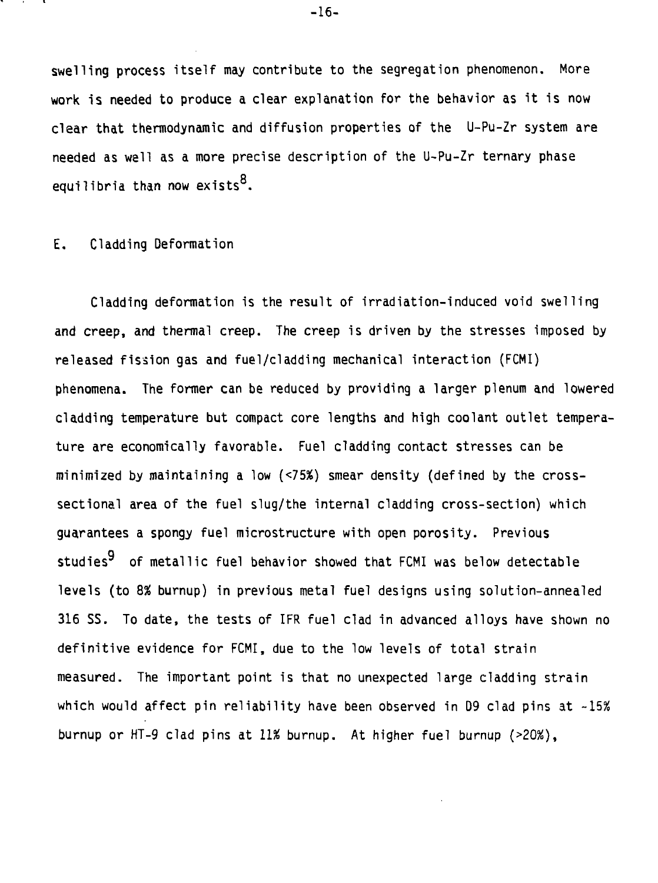**swelling process itself may contribute to the segregation phenomenon. More work is needed to produce a clear explanation for the behavior as it is now clear that thermodynamic and diffusion properties of the U-Pu-Zr system are needed as well as a more precise description of the U-Pu-Zr ternary phase** equilibria than now exists<sup>8</sup>.

#### $E_{\bullet}$ Cladding Deformation

Cladding deformation is the result of irradiation-induced void swelling Cladding deformation is the result of irradiation-induced void swelling and creep, and thermal creep. The creep is driven by the stresses in the stresses in the stresses in the stress released fission gas and fuel/cladding mechanical interaction (FCMI) phenomena. The former can be reduced by providing a larger plenum and lowered cladding temperature but compact core lengths and high coolant outlet temperature are economically favorable. Fuel cladding contact stresses can be minimized by maintaining a low (<75%) smear density (defined by the crosssectional area of the fuel slug/the internal cladding cross-section) which guarantees a spongy fuel microstructure with open porosity. Previous studies<sup>9</sup> of metallic fuel behavior showed that FCMI was below detectable levels (to *8%* burnup) in previous metal fuel designs using solution-annealed 316 SS. To date, the tests of IFR fuel clad in advanced alloys have shown no definitive evidence for FCMI, due to the low levels of total strain measured. The important point is that no unexpected large cladding strain which would affect pin reliability have been observed in D9 clad pins at *-15%* burnup or HT-9 clad pins at 11% burnup. At higher fuel burnup (>20%),

**-16-**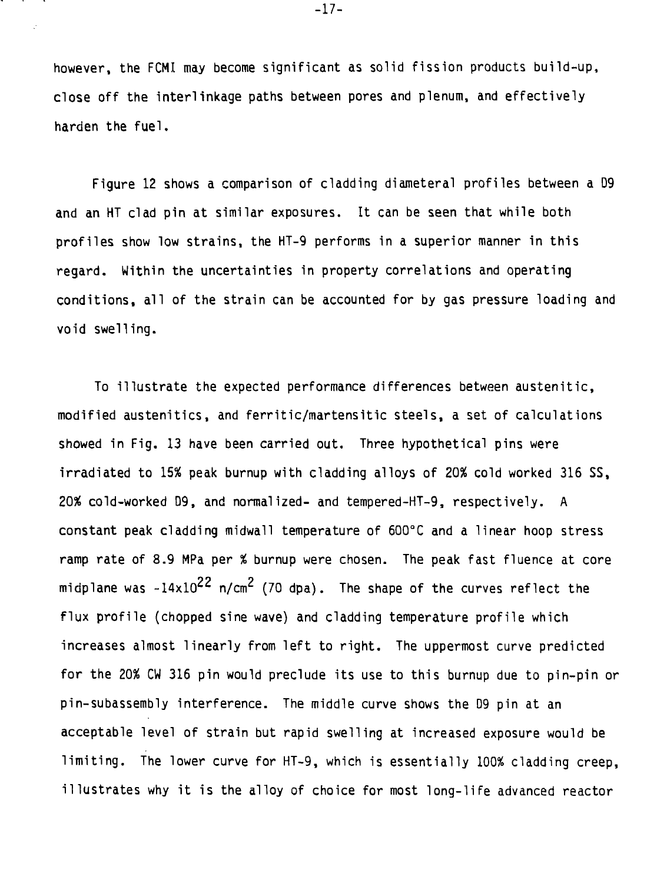**however, the FCMI may become significant as solid fission products build-up, close off the interlinkage paths between pores and plenum, and effectively harden the fuel.**

**Figure 12 shows a comparison of cladding diameteral profiles between a D9 and an HT clad pin at similar exposures. It can be seen that while both profiles show low strains, the HT-9 performs in a superior manner in this regard. Within the uncertainties in property correlations and operating conditions, all of the strain can be accounted for by gas pressure loading and void swelling.**

**To illustrate the expected performance differences between austenitic, modified austenitics, and ferritic/martensitic steels, a set of calculations showed in Fig. 13 have been carried out. Three hypothetical pins were irradiated to 15% peak burnup with cladding alloys of 20% cold worked 316 SS, 20% cold-worked D9, and normalized- and tempered-HT-9, respectively. A constant peak cladding midwall temperature of 600°C and a linear hoop stress ramp rate of 8.9 MPa per % burnup were chosen. The peak fast fluence at core midplane was -14xlO<sup>22</sup> n/cm (70 dpa). The shape of the curves reflect the flux profile (chopped sine wave) and cladding temperature profile which increases almost linearly from left to right. The uppermost curve predicted for the 20% CW 316 pin would preclude its use to this burnup due to pin-pin or pin-subassembly interference. The middle curve shows the D9 pin at an acceptable level of strain but rapid swelling at increased exposure would be limiting. The lower curve for HT-9, which is essentially 100% cladding creep, illustrates why it is the alloy of choice for most long-life advanced reactor**

**-17-**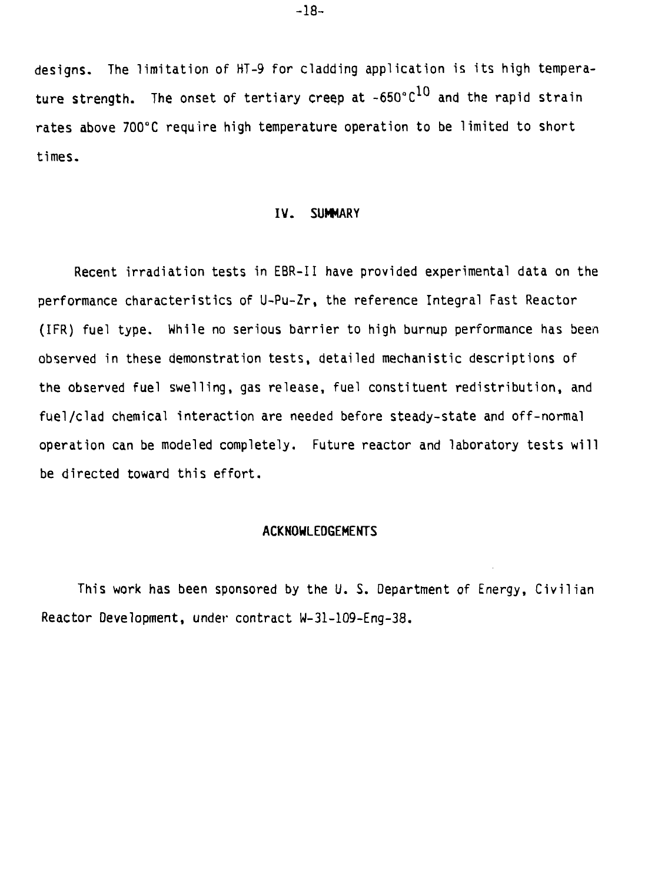**designs. The limitation of HT-9 for cladding application is its high tempera**ture strength. The onset of tertiary creep at ~650°C<sup>10</sup> and the rapid strain **rates above 700°C require high temperature operation to be limited to short times.**

#### **IV. SUMMARY**

Recent irradiation tests in EBR-II have provided experimental data on the performance characteristics of U-Pu-Zr, the reference Integral Fast Reactor (IFR) fuel type. While no serious barrier to high burnup performance has been observed in these demonstration tests, detailed mechanistic descriptions of the observed fuel swelling, gas release, fuel constituent redistribution, and fuel/clad chemical interaction are needed before steady-state and off-normal operation can be modeled completely. Future reactor and laboratory tests will be directed toward this effort.

#### **ACKNOWLEDGEMENTS**

This work has been sponsored by the U. S. Department of Energy, Civilian Reactor Development, under contract W-31-109-Eng-38.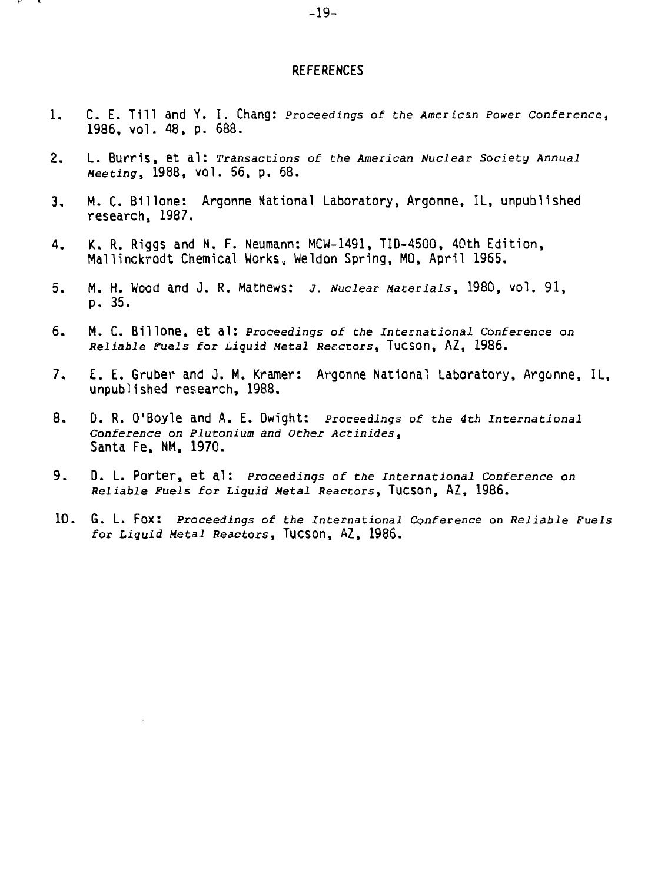#### **REFERENCES**

- 1. C. E. Till and Y. I. Chang: Proceedings of the American Power Conference, 1986, vol. 48, p. 688.
- 2. L. Burris, et al: Transactions of the American Nuclear Society Annual Meeting, 1988, vol. 56, p. 68.
- 3. M. C. Billone: Argonne National Laboratory, Argonne, IL, unpublished research, 1987.
- 4. K. R. Riggs and N. F. Neumann: MCW-1491, TID-45OO, 40th Edition, Mallinckrodt Chemical Works, Weldon Spring, MO, April 1965.
- 5. M. H. Wood and J. R. Mathews: J. Nuclear Materials, 1980, vol. 91, p. 35.
- 6. M. C. **Billone,** et al: Proceedings of the International Conference on Reliable Fuels for Liquid Metal Reactors, Tucson, AZ, 1986.
- 7. E. E. Gruber and J. M. Kramer: Argonne National Laboratory, Argonne, IL, unpublished research, 1988.
- 8. D. R. O'Boyle and A. E. Dwight: Proceedings of the 4th International Conference on Plutonium and Other Actinides, Santa Fe, NM, 1970.
- **9. D. L. Porter, et al:** Proceedings of the International Conference on Reliable Fuels for Liquid Metal Reactors, TuCSOn, AZ, 1986.
- 10. G. L. Fox: Proceedings of the International Conference on Reliable Fuels for Liquid Metal Reactors, TuCSOn, AZ, 1986.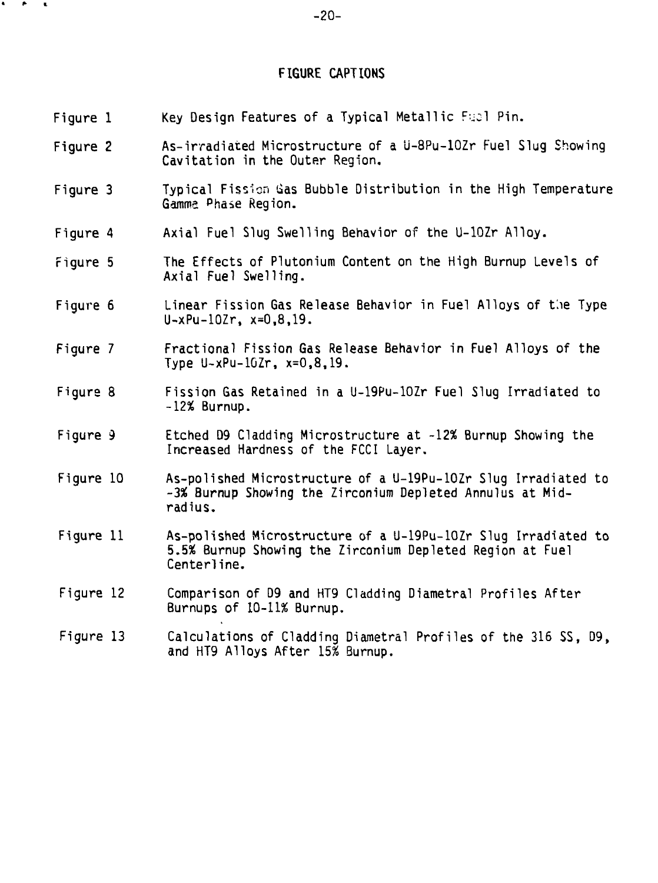## FIGURE CAPTIONS

| Figure 1  | Key Design Features of a Typical Metallic Fuel Pin.                                                                                        |
|-----------|--------------------------------------------------------------------------------------------------------------------------------------------|
| Figure 2  | As-irradiated Microstructure of a U-8Pu-10Zr Fuel Slug Showing<br>Cavitation in the Outer Region.                                          |
| Figure 3  | Typical Fission Gas Bubble Distribution in the High Temperature<br>Gamma Phase Region.                                                     |
| Figure 4  | Axial Fuel Slug Swelling Behavior of the U-10Zr Alloy.                                                                                     |
| Figure 5  | The Effects of Plutonium Content on the High Burnup Levels of<br>Axial Fuel Swelling.                                                      |
| Figure 6  | Linear Fission Gas Release Behavior in Fuel Alloys of the Type<br>$U - xPu - 10Zr$ , $x = 0, 8, 19$ .                                      |
| Figure 7  | Fractional Fission Gas Release Behavior in Fuel Alloys of the<br>Type $U - xPu - 16Zr$ , $x = 0, 8, 19$ .                                  |
| Figure 8  | Fission Gas Retained in a U-19Pu-10Zr Fuel Slug Irradiated to<br>$-12\%$ Burnup.                                                           |
| Figure 9  | Etched D9 Cladding Microstructure at -12% Burnup Showing the<br>Increased Hardness of the FCCI Layer.                                      |
| Figure 10 | As-polished Microstructure of a U-19Pu-10Zr Slug Irradiated to<br>-3% Burnup Showing the Zirconium Depleted Annulus at Mid-<br>radius.     |
| Figure 11 | As-polished Microstructure of a U-19Pu-10Zr Slug Irradiated to<br>5.5% Burnup Showing the Zirconium Depleted Region at Fuel<br>Centerline. |
| Figure 12 | Comparison of D9 and HT9 Cladding Diametral Profiles After<br>Burnups of 10-11% Burnup.                                                    |
| Figure 13 | Calculations of Cladding Diametral Profiles of the 316 SS, D9,<br>and HT9 Alloys After 15% Burnup.                                         |

• \*• I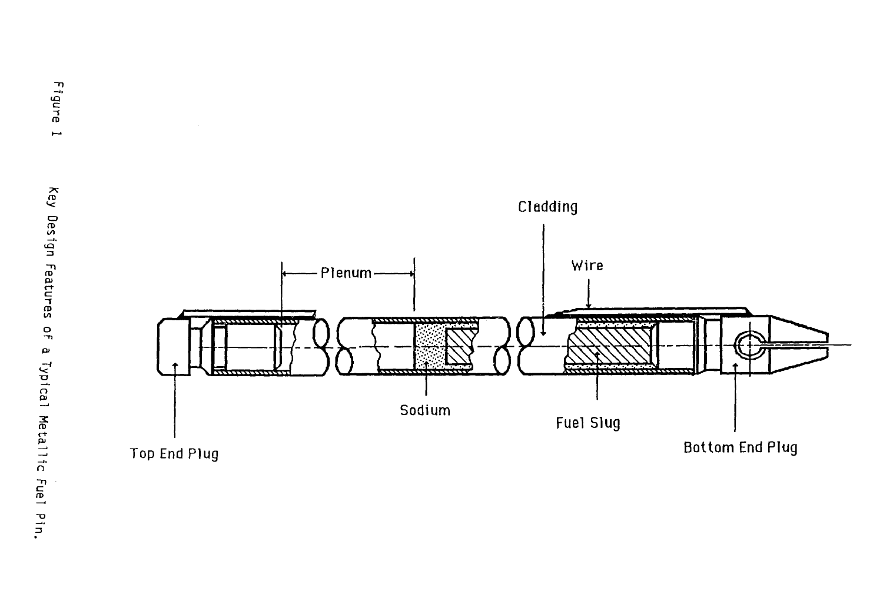

 $\mathcal{L}$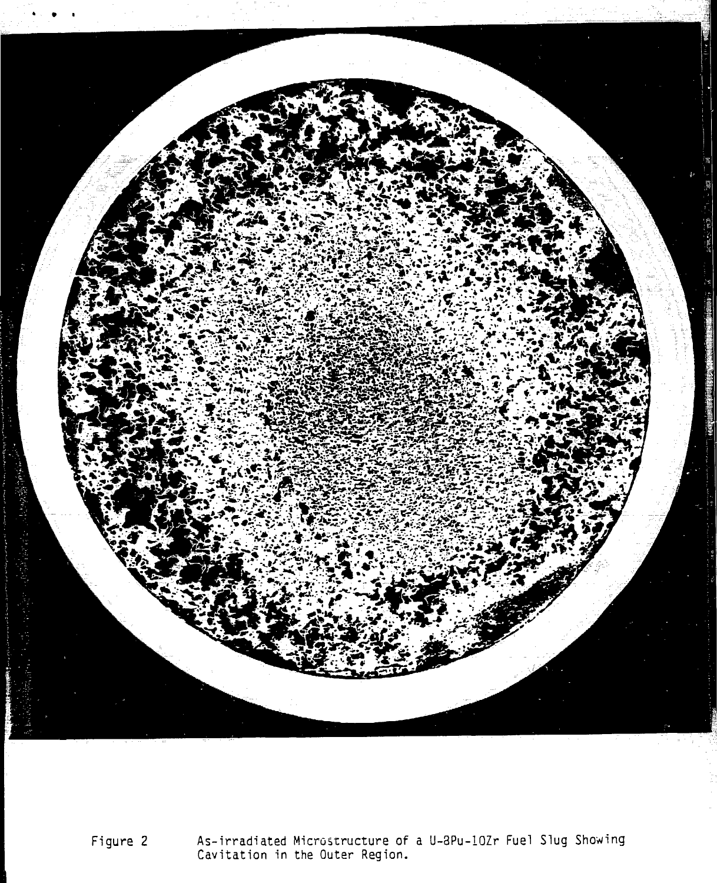

Figure 2 As-irradiated Microstructure of a U-3Pu-10Zr Fuel Slug Showing Cavitation in the Outer Region.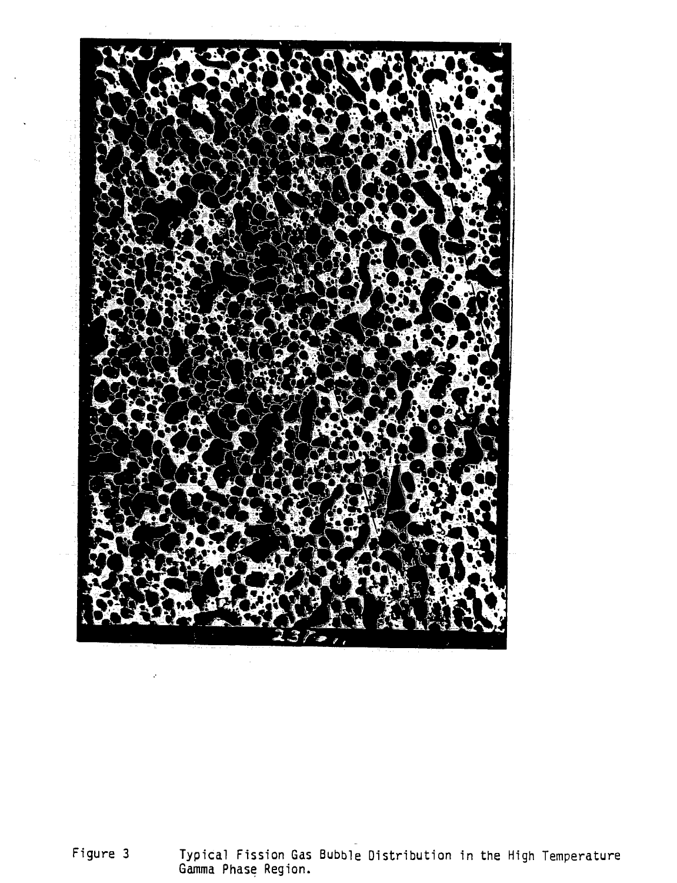

Figure 3 Typical Fission Gas Bubble Distribution in the High Temperature Gamma Phase Region.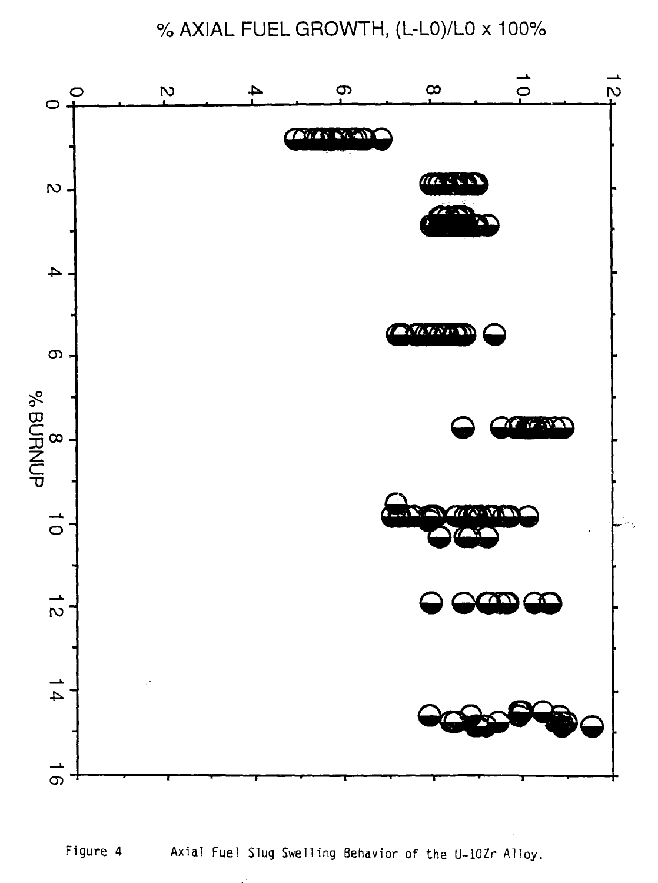% AXIAL FUEL GROWTH, (L-LO)/LO x 100%



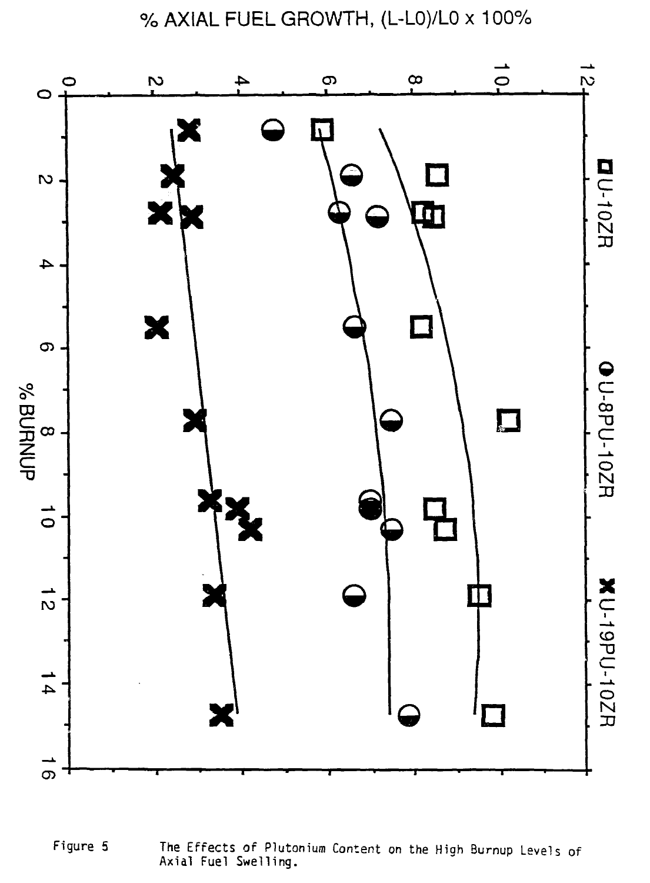% AXIAL FUEL GROWTH, (L-LO)/LO x 100%



Figure 5 The Effects of Plutonium Content on the High Burnup Levels of Axial Fuel Swelling.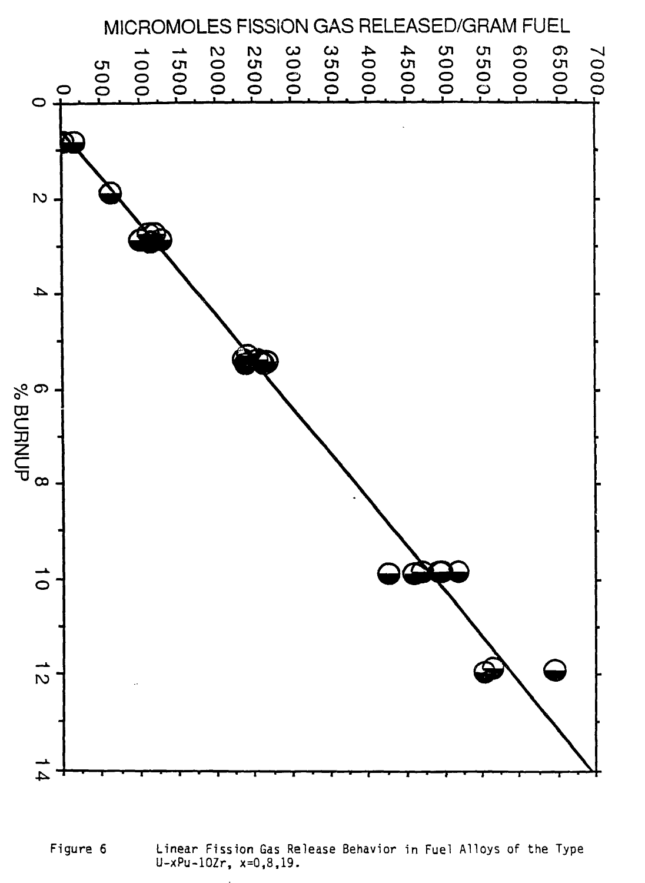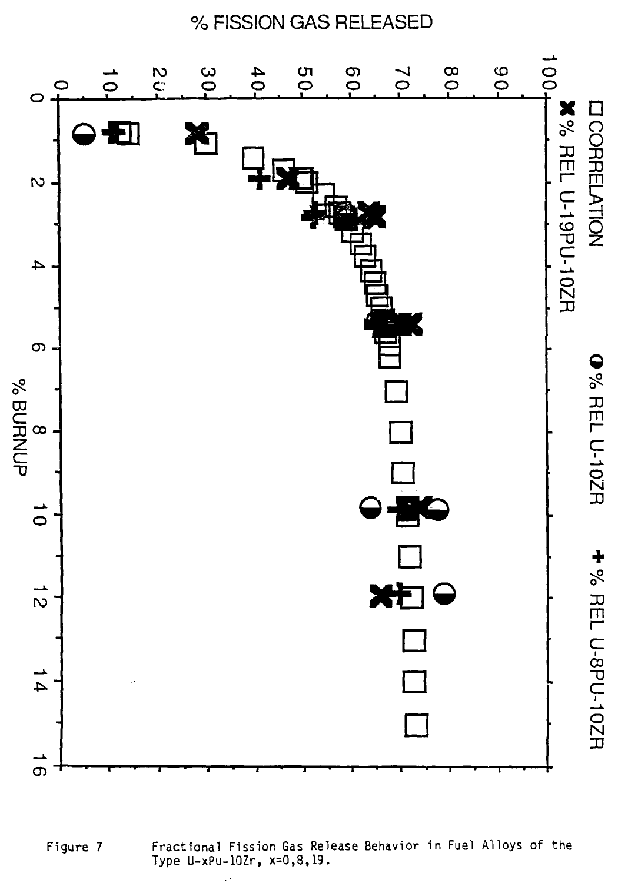

Fractional Fission Gas Release Behavior in Fuel Alloys of the Figure 7 Type U-xPu-10Zr, x=0,8,19.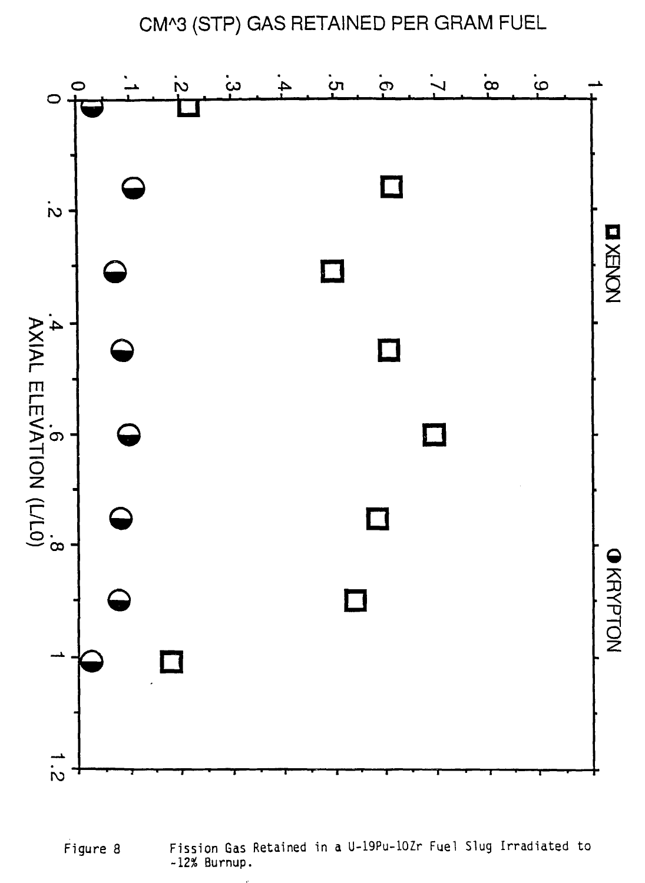CM^3 (STP) GAS RETAINED PER GRAM FUEL





Fission Gas Retained in a U-19Pu-10Zr Fuel Slug Irradiated to  $-12%$  Burnup.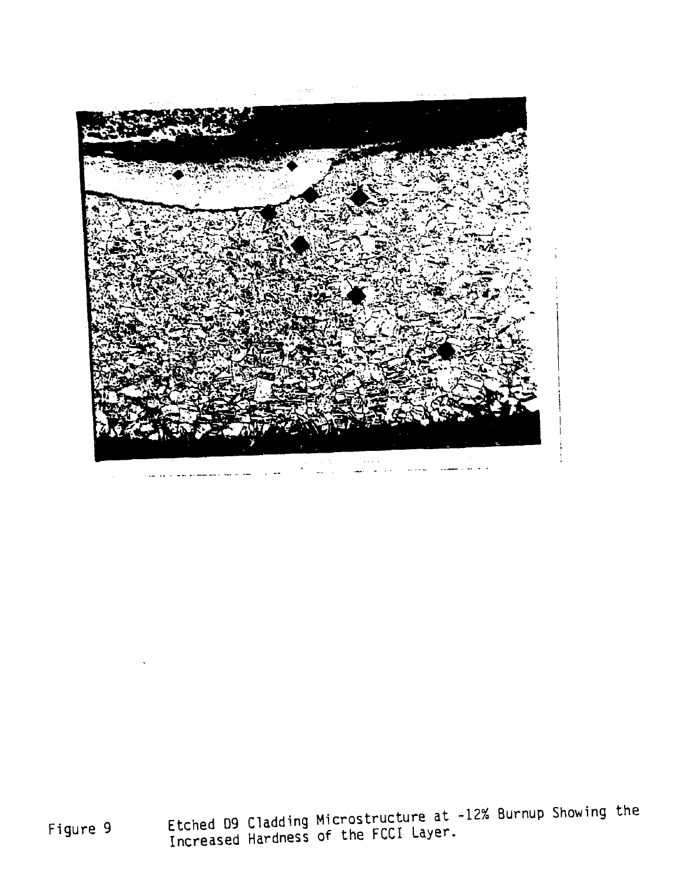

Figure 9 Etched D9 Cladding Microstructure at -12% Burnup Showing the Increased Hardness of the FCCI Layer.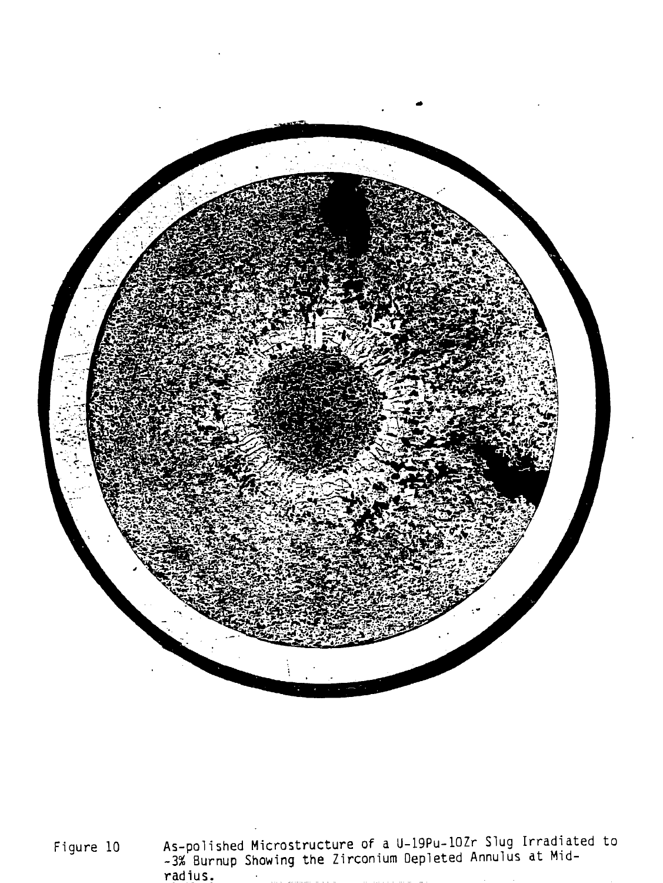

Figure 10 As-polished Microstructure of a U-19Pu-10Zr Slug Irradiated to -3% Burnup Showing the Zirconium Depleted Annulus at Midradius.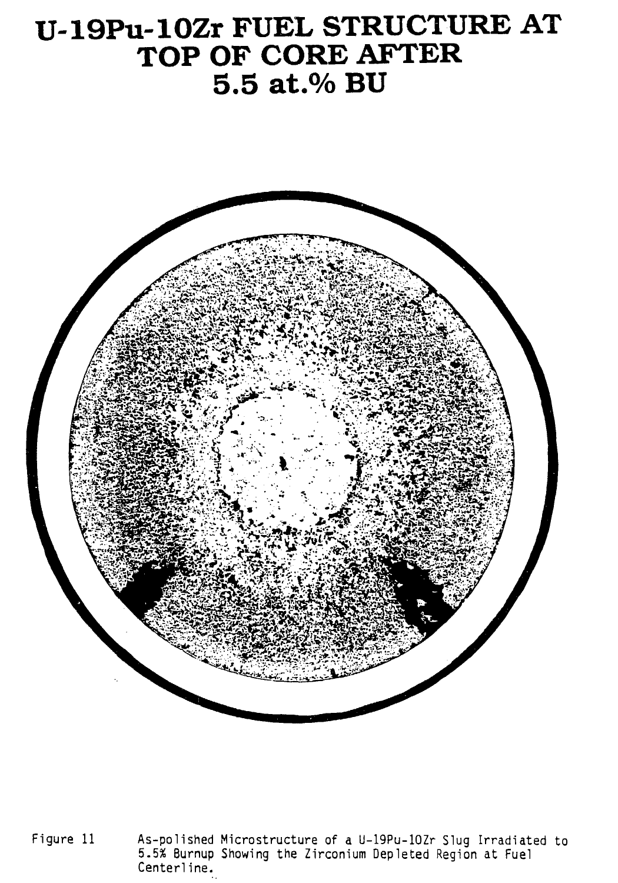# U-19Pu-10Zr FUEL STRUCTURE AT TOP OF CORE AFTER 5.5 at.% BU



As-polished Microstructure of a U-19Pu-10Zr Slug Irradiated to 5.5% Burnup Showing the Zirconium Depleted Region at Fuel Figure 11 Centerline.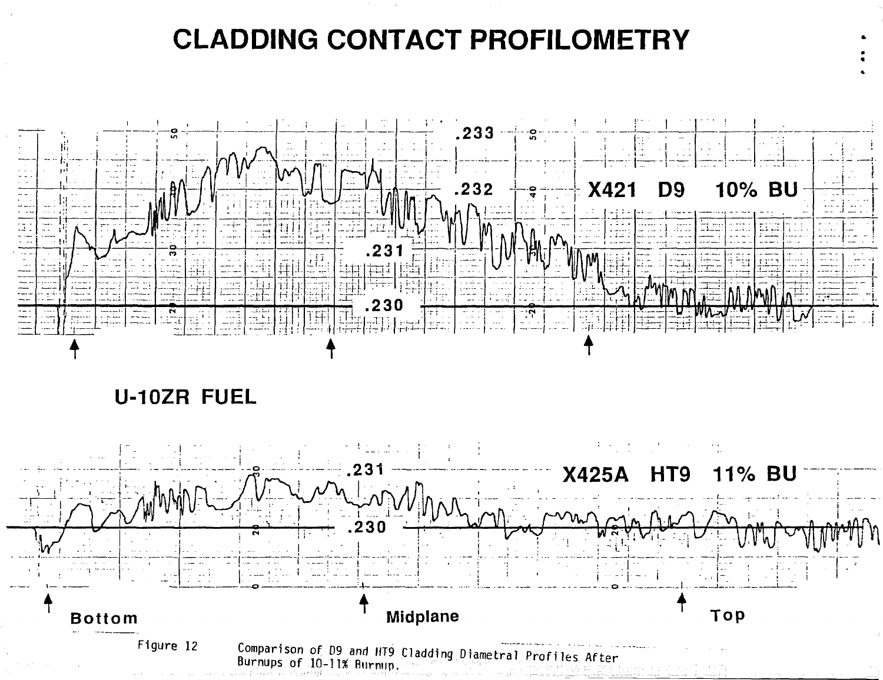# **CLADDING CONTACT PROFILOMETRY**



## **U-10ZR FUEL**